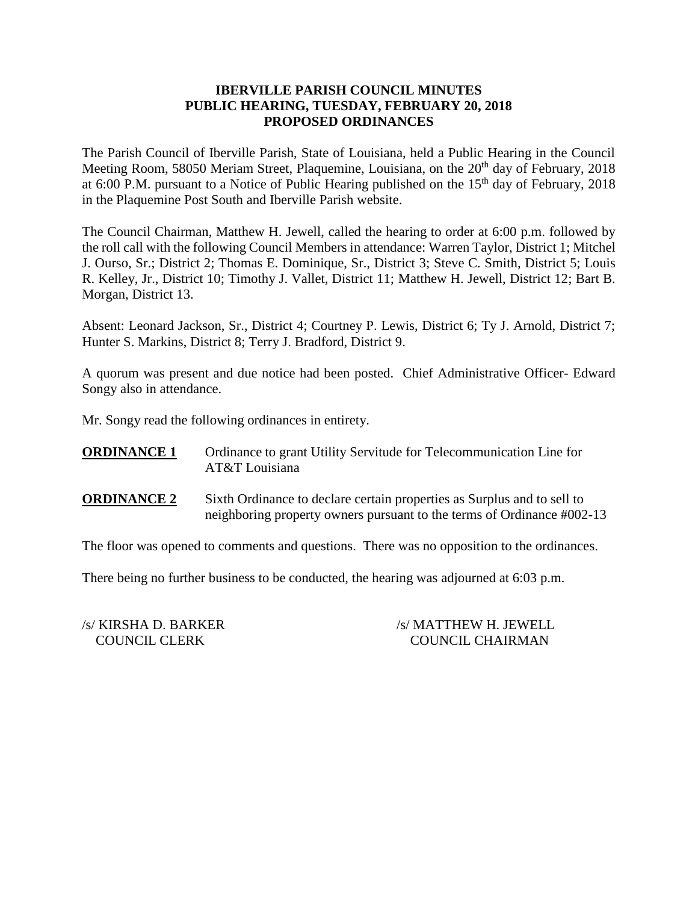## **IBERVILLE PARISH COUNCIL MINUTES PUBLIC HEARING, TUESDAY, FEBRUARY 20, 2018 PROPOSED ORDINANCES**

The Parish Council of Iberville Parish, State of Louisiana, held a Public Hearing in the Council Meeting Room, 58050 Meriam Street, Plaquemine, Louisiana, on the 20<sup>th</sup> day of February, 2018 at 6:00 P.M. pursuant to a Notice of Public Hearing published on the  $15<sup>th</sup>$  day of February, 2018 in the Plaquemine Post South and Iberville Parish website.

The Council Chairman, Matthew H. Jewell, called the hearing to order at 6:00 p.m. followed by the roll call with the following Council Members in attendance: Warren Taylor, District 1; Mitchel J. Ourso, Sr.; District 2; Thomas E. Dominique, Sr., District 3; Steve C. Smith, District 5; Louis R. Kelley, Jr., District 10; Timothy J. Vallet, District 11; Matthew H. Jewell, District 12; Bart B. Morgan, District 13.

Absent: Leonard Jackson, Sr., District 4; Courtney P. Lewis, District 6; Ty J. Arnold, District 7; Hunter S. Markins, District 8; Terry J. Bradford, District 9.

A quorum was present and due notice had been posted. Chief Administrative Officer- Edward Songy also in attendance.

Mr. Songy read the following ordinances in entirety.

**ORDINANCE 1** Ordinance to grant Utility Servitude for Telecommunication Line for AT&T Louisiana

**ORDINANCE 2** Sixth Ordinance to declare certain properties as Surplus and to sell to neighboring property owners pursuant to the terms of Ordinance #002-13

The floor was opened to comments and questions. There was no opposition to the ordinances.

There being no further business to be conducted, the hearing was adjourned at 6:03 p.m.

/s/ KIRSHA D. BARKER /s/ MATTHEW H. JEWELL COUNCIL CLERK COUNCIL CHAIRMAN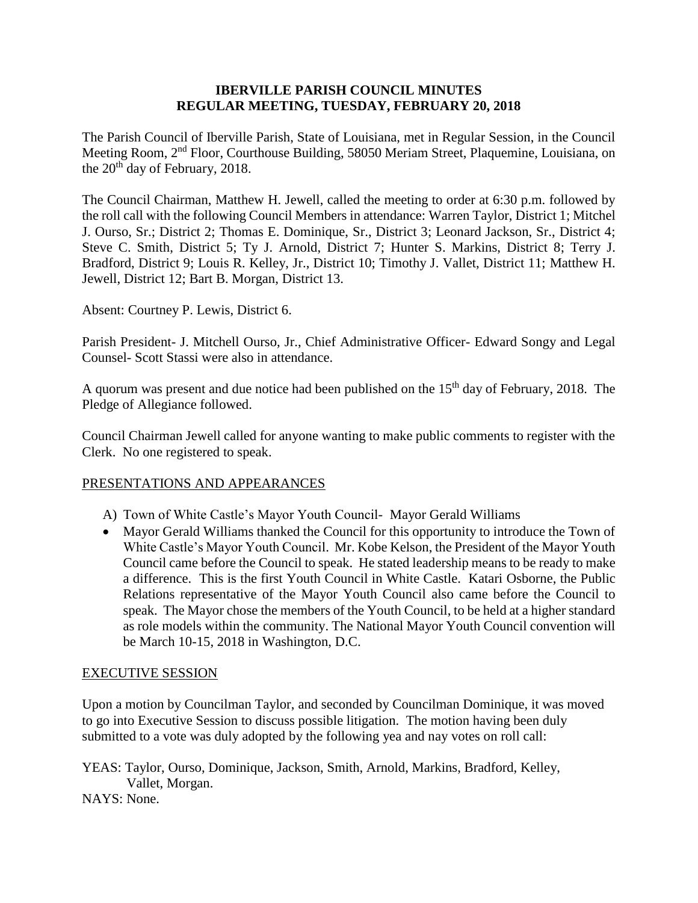### **IBERVILLE PARISH COUNCIL MINUTES REGULAR MEETING, TUESDAY, FEBRUARY 20, 2018**

The Parish Council of Iberville Parish, State of Louisiana, met in Regular Session, in the Council Meeting Room, 2nd Floor, Courthouse Building, 58050 Meriam Street, Plaquemine, Louisiana, on the 20<sup>th</sup> day of February, 2018.

The Council Chairman, Matthew H. Jewell, called the meeting to order at 6:30 p.m. followed by the roll call with the following Council Members in attendance: Warren Taylor, District 1; Mitchel J. Ourso, Sr.; District 2; Thomas E. Dominique, Sr., District 3; Leonard Jackson, Sr., District 4; Steve C. Smith, District 5; Ty J. Arnold, District 7; Hunter S. Markins, District 8; Terry J. Bradford, District 9; Louis R. Kelley, Jr., District 10; Timothy J. Vallet, District 11; Matthew H. Jewell, District 12; Bart B. Morgan, District 13.

Absent: Courtney P. Lewis, District 6.

Parish President- J. Mitchell Ourso, Jr., Chief Administrative Officer- Edward Songy and Legal Counsel- Scott Stassi were also in attendance.

A quorum was present and due notice had been published on the 15<sup>th</sup> day of February, 2018. The Pledge of Allegiance followed.

Council Chairman Jewell called for anyone wanting to make public comments to register with the Clerk. No one registered to speak.

# PRESENTATIONS AND APPEARANCES

- A) Town of White Castle's Mayor Youth Council- Mayor Gerald Williams
- Mayor Gerald Williams thanked the Council for this opportunity to introduce the Town of White Castle's Mayor Youth Council. Mr. Kobe Kelson, the President of the Mayor Youth Council came before the Council to speak. He stated leadership means to be ready to make a difference. This is the first Youth Council in White Castle. Katari Osborne, the Public Relations representative of the Mayor Youth Council also came before the Council to speak. The Mayor chose the members of the Youth Council, to be held at a higher standard as role models within the community. The National Mayor Youth Council convention will be March 10-15, 2018 in Washington, D.C.

#### EXECUTIVE SESSION

Upon a motion by Councilman Taylor, and seconded by Councilman Dominique, it was moved to go into Executive Session to discuss possible litigation. The motion having been duly submitted to a vote was duly adopted by the following yea and nay votes on roll call:

YEAS: Taylor, Ourso, Dominique, Jackson, Smith, Arnold, Markins, Bradford, Kelley, Vallet, Morgan. NAYS: None.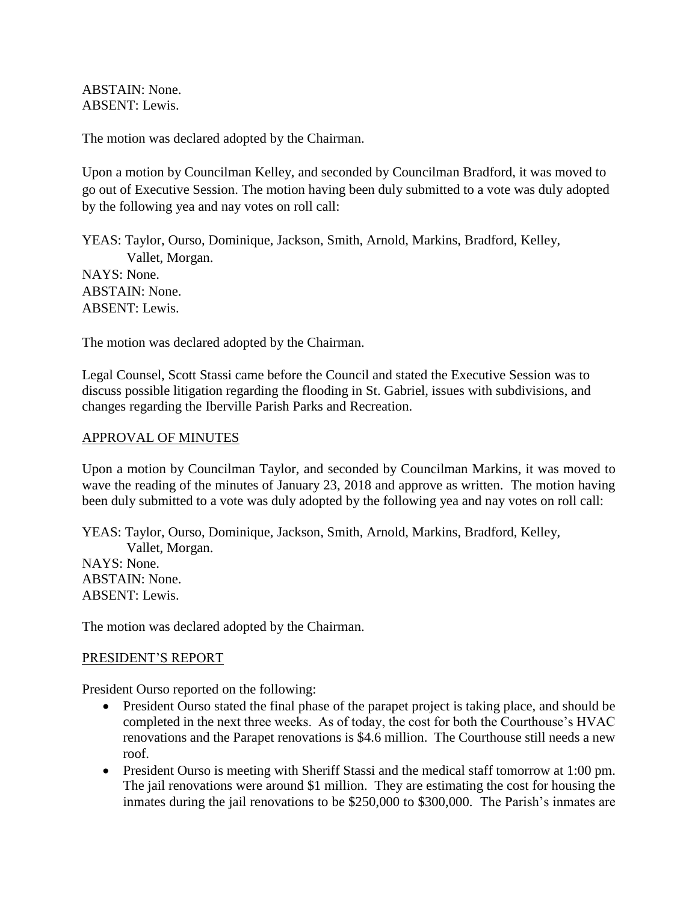ABSTAIN: None. ABSENT: Lewis.

The motion was declared adopted by the Chairman.

Upon a motion by Councilman Kelley, and seconded by Councilman Bradford, it was moved to go out of Executive Session. The motion having been duly submitted to a vote was duly adopted by the following yea and nay votes on roll call:

YEAS: Taylor, Ourso, Dominique, Jackson, Smith, Arnold, Markins, Bradford, Kelley, Vallet, Morgan. NAYS: None. ABSTAIN: None. ABSENT: Lewis.

The motion was declared adopted by the Chairman.

Legal Counsel, Scott Stassi came before the Council and stated the Executive Session was to discuss possible litigation regarding the flooding in St. Gabriel, issues with subdivisions, and changes regarding the Iberville Parish Parks and Recreation.

#### APPROVAL OF MINUTES

Upon a motion by Councilman Taylor, and seconded by Councilman Markins, it was moved to wave the reading of the minutes of January 23, 2018 and approve as written. The motion having been duly submitted to a vote was duly adopted by the following yea and nay votes on roll call:

YEAS: Taylor, Ourso, Dominique, Jackson, Smith, Arnold, Markins, Bradford, Kelley, Vallet, Morgan. NAYS: None. ABSTAIN: None. ABSENT: Lewis.

The motion was declared adopted by the Chairman.

#### PRESIDENT'S REPORT

President Ourso reported on the following:

- President Ourso stated the final phase of the parapet project is taking place, and should be completed in the next three weeks. As of today, the cost for both the Courthouse's HVAC renovations and the Parapet renovations is \$4.6 million. The Courthouse still needs a new roof.
- President Ourso is meeting with Sheriff Stassi and the medical staff tomorrow at 1:00 pm. The jail renovations were around \$1 million. They are estimating the cost for housing the inmates during the jail renovations to be \$250,000 to \$300,000. The Parish's inmates are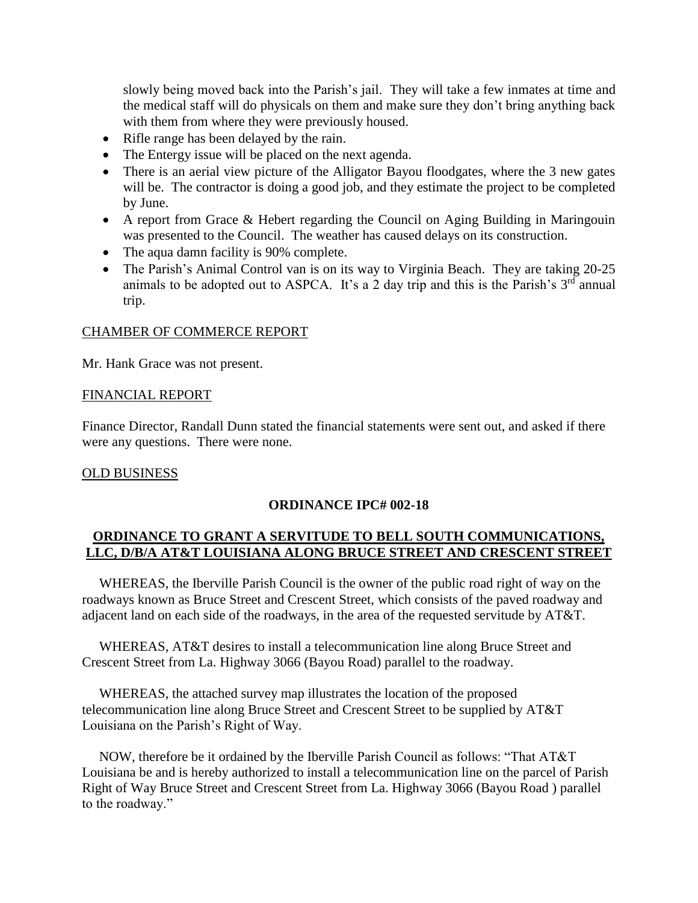slowly being moved back into the Parish's jail. They will take a few inmates at time and the medical staff will do physicals on them and make sure they don't bring anything back with them from where they were previously housed.

- Rifle range has been delayed by the rain.
- The Entergy issue will be placed on the next agenda.
- There is an aerial view picture of the Alligator Bayou floodgates, where the 3 new gates will be. The contractor is doing a good job, and they estimate the project to be completed by June.
- A report from Grace & Hebert regarding the Council on Aging Building in Maringouin was presented to the Council. The weather has caused delays on its construction.
- The aqua damn facility is 90% complete.
- The Parish's Animal Control van is on its way to Virginia Beach. They are taking 20-25 animals to be adopted out to ASPCA. It's a 2 day trip and this is the Parish's  $3<sup>rd</sup>$  annual trip.

#### CHAMBER OF COMMERCE REPORT

Mr. Hank Grace was not present.

#### FINANCIAL REPORT

Finance Director, Randall Dunn stated the financial statements were sent out, and asked if there were any questions. There were none.

#### OLD BUSINESS

#### **ORDINANCE IPC# 002-18**

# **ORDINANCE TO GRANT A SERVITUDE TO BELL SOUTH COMMUNICATIONS, LLC, D/B/A AT&T LOUISIANA ALONG BRUCE STREET AND CRESCENT STREET**

 WHEREAS, the Iberville Parish Council is the owner of the public road right of way on the roadways known as Bruce Street and Crescent Street, which consists of the paved roadway and adjacent land on each side of the roadways, in the area of the requested servitude by AT&T.

 WHEREAS, AT&T desires to install a telecommunication line along Bruce Street and Crescent Street from La. Highway 3066 (Bayou Road) parallel to the roadway.

 WHEREAS, the attached survey map illustrates the location of the proposed telecommunication line along Bruce Street and Crescent Street to be supplied by AT&T Louisiana on the Parish's Right of Way.

 NOW, therefore be it ordained by the Iberville Parish Council as follows: "That AT&T Louisiana be and is hereby authorized to install a telecommunication line on the parcel of Parish Right of Way Bruce Street and Crescent Street from La. Highway 3066 (Bayou Road ) parallel to the roadway."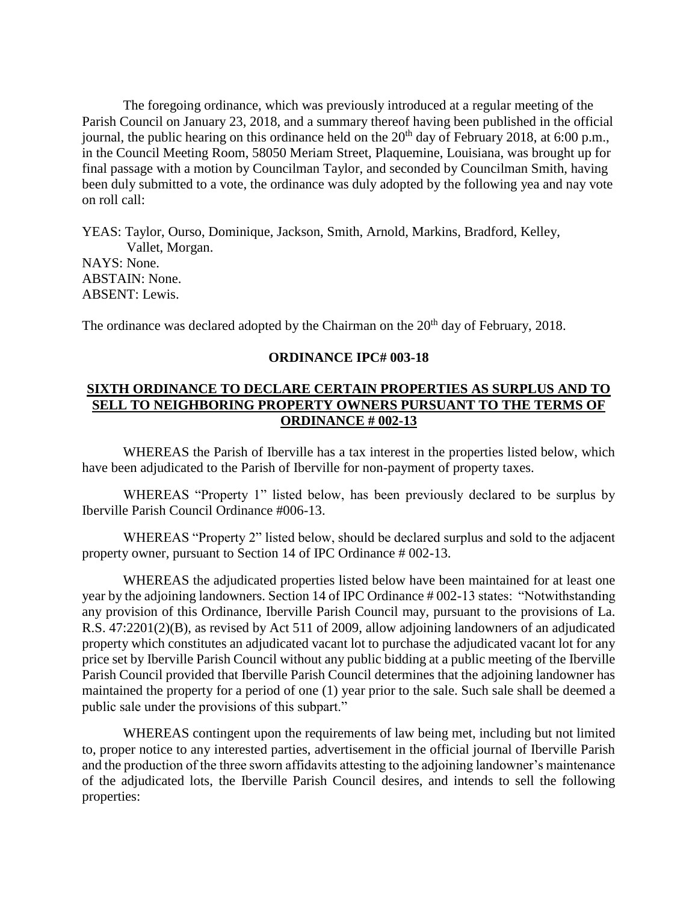The foregoing ordinance, which was previously introduced at a regular meeting of the Parish Council on January 23, 2018, and a summary thereof having been published in the official journal, the public hearing on this ordinance held on the  $20<sup>th</sup>$  day of February 2018, at 6:00 p.m., in the Council Meeting Room, 58050 Meriam Street, Plaquemine, Louisiana, was brought up for final passage with a motion by Councilman Taylor, and seconded by Councilman Smith, having been duly submitted to a vote, the ordinance was duly adopted by the following yea and nay vote on roll call:

YEAS: Taylor, Ourso, Dominique, Jackson, Smith, Arnold, Markins, Bradford, Kelley, Vallet, Morgan. NAYS: None. ABSTAIN: None. ABSENT: Lewis.

The ordinance was declared adopted by the Chairman on the 20<sup>th</sup> day of February, 2018.

#### **ORDINANCE IPC# 003-18**

## **SIXTH ORDINANCE TO DECLARE CERTAIN PROPERTIES AS SURPLUS AND TO SELL TO NEIGHBORING PROPERTY OWNERS PURSUANT TO THE TERMS OF ORDINANCE # 002-13**

WHEREAS the Parish of Iberville has a tax interest in the properties listed below, which have been adjudicated to the Parish of Iberville for non-payment of property taxes.

WHEREAS "Property 1" listed below, has been previously declared to be surplus by Iberville Parish Council Ordinance #006-13.

WHEREAS "Property 2" listed below, should be declared surplus and sold to the adjacent property owner, pursuant to Section 14 of IPC Ordinance # 002-13.

WHEREAS the adjudicated properties listed below have been maintained for at least one year by the adjoining landowners. Section 14 of IPC Ordinance # 002-13 states: "Notwithstanding any provision of this Ordinance, Iberville Parish Council may, pursuant to the provisions of La. R.S. 47:2201(2)(B), as revised by Act 511 of 2009, allow adjoining landowners of an adjudicated property which constitutes an adjudicated vacant lot to purchase the adjudicated vacant lot for any price set by Iberville Parish Council without any public bidding at a public meeting of the Iberville Parish Council provided that Iberville Parish Council determines that the adjoining landowner has maintained the property for a period of one (1) year prior to the sale. Such sale shall be deemed a public sale under the provisions of this subpart."

WHEREAS contingent upon the requirements of law being met, including but not limited to, proper notice to any interested parties, advertisement in the official journal of Iberville Parish and the production of the three sworn affidavits attesting to the adjoining landowner's maintenance of the adjudicated lots, the Iberville Parish Council desires, and intends to sell the following properties: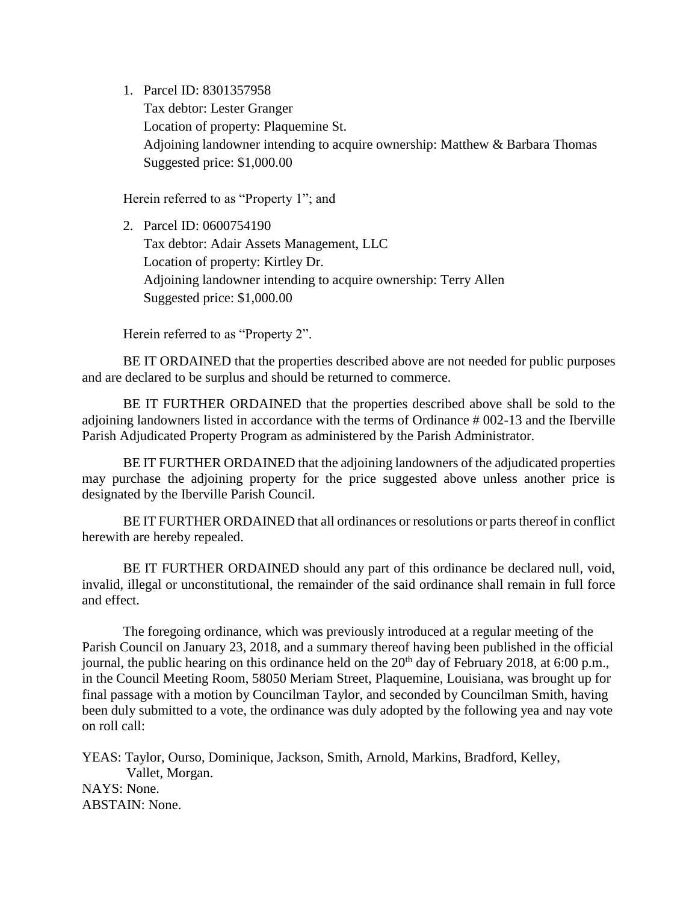1. Parcel ID: 8301357958

Tax debtor: Lester Granger Location of property: Plaquemine St. Adjoining landowner intending to acquire ownership: Matthew & Barbara Thomas Suggested price: \$1,000.00

Herein referred to as "Property 1"; and

2. Parcel ID: 0600754190 Tax debtor: Adair Assets Management, LLC Location of property: Kirtley Dr. Adjoining landowner intending to acquire ownership: Terry Allen Suggested price: \$1,000.00

Herein referred to as "Property 2".

BE IT ORDAINED that the properties described above are not needed for public purposes and are declared to be surplus and should be returned to commerce.

BE IT FURTHER ORDAINED that the properties described above shall be sold to the adjoining landowners listed in accordance with the terms of Ordinance # 002-13 and the Iberville Parish Adjudicated Property Program as administered by the Parish Administrator.

BE IT FURTHER ORDAINED that the adjoining landowners of the adjudicated properties may purchase the adjoining property for the price suggested above unless another price is designated by the Iberville Parish Council.

BE IT FURTHER ORDAINED that all ordinances or resolutions or parts thereof in conflict herewith are hereby repealed.

BE IT FURTHER ORDAINED should any part of this ordinance be declared null, void, invalid, illegal or unconstitutional, the remainder of the said ordinance shall remain in full force and effect.

The foregoing ordinance, which was previously introduced at a regular meeting of the Parish Council on January 23, 2018, and a summary thereof having been published in the official journal, the public hearing on this ordinance held on the  $20<sup>th</sup>$  day of February 2018, at 6:00 p.m., in the Council Meeting Room, 58050 Meriam Street, Plaquemine, Louisiana, was brought up for final passage with a motion by Councilman Taylor, and seconded by Councilman Smith, having been duly submitted to a vote, the ordinance was duly adopted by the following yea and nay vote on roll call:

YEAS: Taylor, Ourso, Dominique, Jackson, Smith, Arnold, Markins, Bradford, Kelley, Vallet, Morgan. NAYS: None. ABSTAIN: None.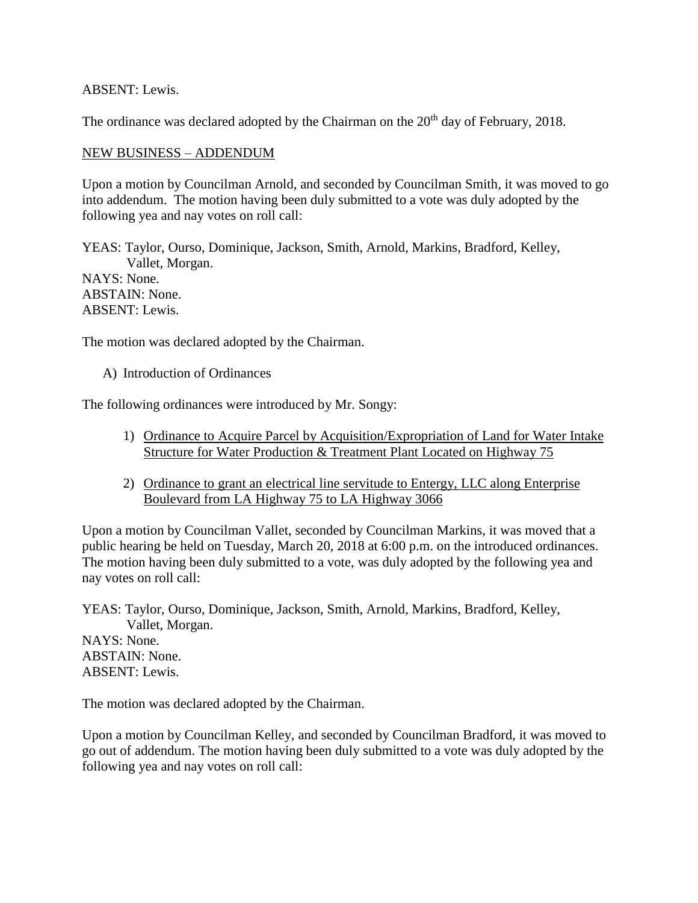ABSENT: Lewis.

The ordinance was declared adopted by the Chairman on the 20<sup>th</sup> day of February, 2018.

## NEW BUSINESS – ADDENDUM

Upon a motion by Councilman Arnold, and seconded by Councilman Smith, it was moved to go into addendum. The motion having been duly submitted to a vote was duly adopted by the following yea and nay votes on roll call:

YEAS: Taylor, Ourso, Dominique, Jackson, Smith, Arnold, Markins, Bradford, Kelley, Vallet, Morgan. NAYS: None. ABSTAIN: None. ABSENT: Lewis.

The motion was declared adopted by the Chairman.

A) Introduction of Ordinances

The following ordinances were introduced by Mr. Songy:

- 1) Ordinance to Acquire Parcel by Acquisition/Expropriation of Land for Water Intake Structure for Water Production & Treatment Plant Located on Highway 75
- 2) Ordinance to grant an electrical line servitude to Entergy, LLC along Enterprise Boulevard from LA Highway 75 to LA Highway 3066

Upon a motion by Councilman Vallet, seconded by Councilman Markins, it was moved that a public hearing be held on Tuesday, March 20, 2018 at 6:00 p.m. on the introduced ordinances. The motion having been duly submitted to a vote, was duly adopted by the following yea and nay votes on roll call:

YEAS: Taylor, Ourso, Dominique, Jackson, Smith, Arnold, Markins, Bradford, Kelley, Vallet, Morgan. NAYS: None. ABSTAIN: None. ABSENT: Lewis.

The motion was declared adopted by the Chairman.

Upon a motion by Councilman Kelley, and seconded by Councilman Bradford, it was moved to go out of addendum. The motion having been duly submitted to a vote was duly adopted by the following yea and nay votes on roll call: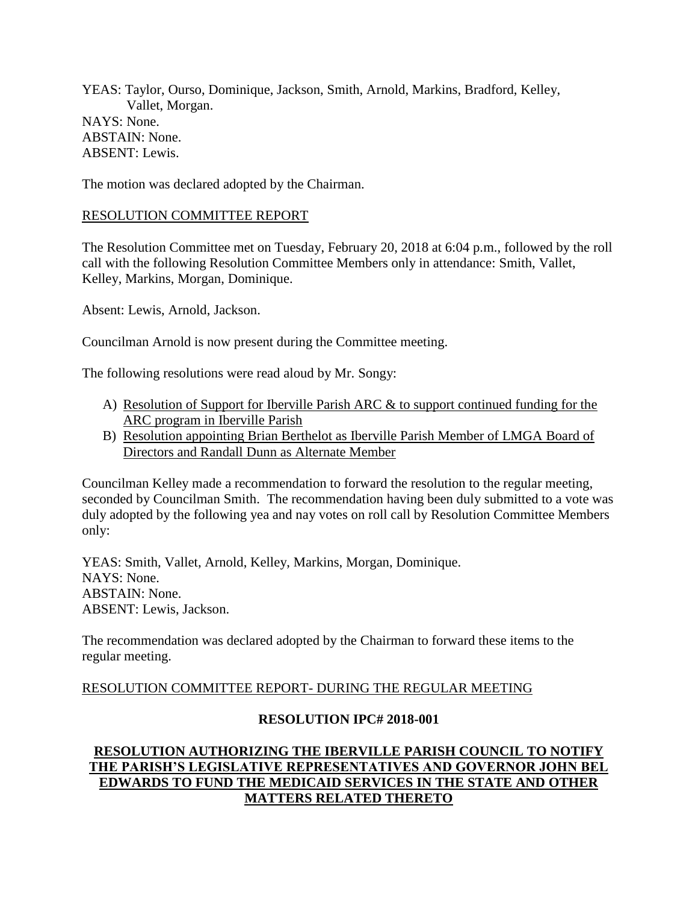YEAS: Taylor, Ourso, Dominique, Jackson, Smith, Arnold, Markins, Bradford, Kelley, Vallet, Morgan. NAYS: None. ABSTAIN: None. ABSENT: Lewis.

The motion was declared adopted by the Chairman.

## RESOLUTION COMMITTEE REPORT

The Resolution Committee met on Tuesday, February 20, 2018 at 6:04 p.m., followed by the roll call with the following Resolution Committee Members only in attendance: Smith, Vallet, Kelley, Markins, Morgan, Dominique.

Absent: Lewis, Arnold, Jackson.

Councilman Arnold is now present during the Committee meeting.

The following resolutions were read aloud by Mr. Songy:

- A) Resolution of Support for Iberville Parish ARC & to support continued funding for the ARC program in Iberville Parish
- B) Resolution appointing Brian Berthelot as Iberville Parish Member of LMGA Board of Directors and Randall Dunn as Alternate Member

Councilman Kelley made a recommendation to forward the resolution to the regular meeting, seconded by Councilman Smith. The recommendation having been duly submitted to a vote was duly adopted by the following yea and nay votes on roll call by Resolution Committee Members only:

YEAS: Smith, Vallet, Arnold, Kelley, Markins, Morgan, Dominique. NAYS: None. ABSTAIN: None. ABSENT: Lewis, Jackson.

The recommendation was declared adopted by the Chairman to forward these items to the regular meeting.

# RESOLUTION COMMITTEE REPORT- DURING THE REGULAR MEETING

# **RESOLUTION IPC# 2018-001**

# **RESOLUTION AUTHORIZING THE IBERVILLE PARISH COUNCIL TO NOTIFY THE PARISH'S LEGISLATIVE REPRESENTATIVES AND GOVERNOR JOHN BEL EDWARDS TO FUND THE MEDICAID SERVICES IN THE STATE AND OTHER MATTERS RELATED THERETO**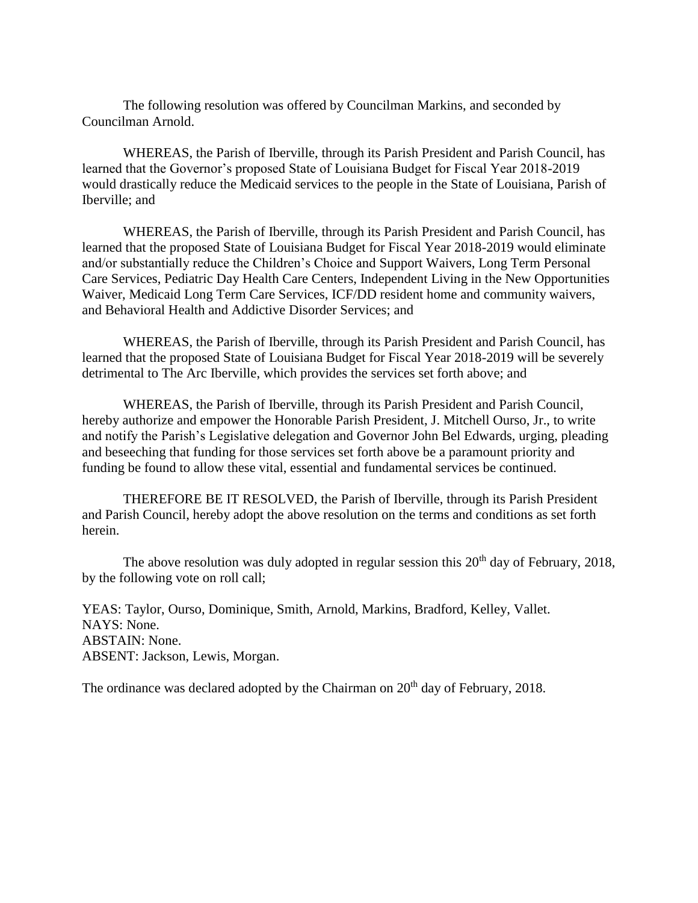The following resolution was offered by Councilman Markins, and seconded by Councilman Arnold.

WHEREAS, the Parish of Iberville, through its Parish President and Parish Council, has learned that the Governor's proposed State of Louisiana Budget for Fiscal Year 2018-2019 would drastically reduce the Medicaid services to the people in the State of Louisiana, Parish of Iberville; and

WHEREAS, the Parish of Iberville, through its Parish President and Parish Council, has learned that the proposed State of Louisiana Budget for Fiscal Year 2018-2019 would eliminate and/or substantially reduce the Children's Choice and Support Waivers, Long Term Personal Care Services, Pediatric Day Health Care Centers, Independent Living in the New Opportunities Waiver, Medicaid Long Term Care Services, ICF/DD resident home and community waivers, and Behavioral Health and Addictive Disorder Services; and

WHEREAS, the Parish of Iberville, through its Parish President and Parish Council, has learned that the proposed State of Louisiana Budget for Fiscal Year 2018-2019 will be severely detrimental to The Arc Iberville, which provides the services set forth above; and

WHEREAS, the Parish of Iberville, through its Parish President and Parish Council, hereby authorize and empower the Honorable Parish President, J. Mitchell Ourso, Jr., to write and notify the Parish's Legislative delegation and Governor John Bel Edwards, urging, pleading and beseeching that funding for those services set forth above be a paramount priority and funding be found to allow these vital, essential and fundamental services be continued.

THEREFORE BE IT RESOLVED, the Parish of Iberville, through its Parish President and Parish Council, hereby adopt the above resolution on the terms and conditions as set forth herein.

The above resolution was duly adopted in regular session this  $20<sup>th</sup>$  day of February, 2018, by the following vote on roll call;

YEAS: Taylor, Ourso, Dominique, Smith, Arnold, Markins, Bradford, Kelley, Vallet. NAYS: None. ABSTAIN: None. ABSENT: Jackson, Lewis, Morgan.

The ordinance was declared adopted by the Chairman on  $20<sup>th</sup>$  day of February, 2018.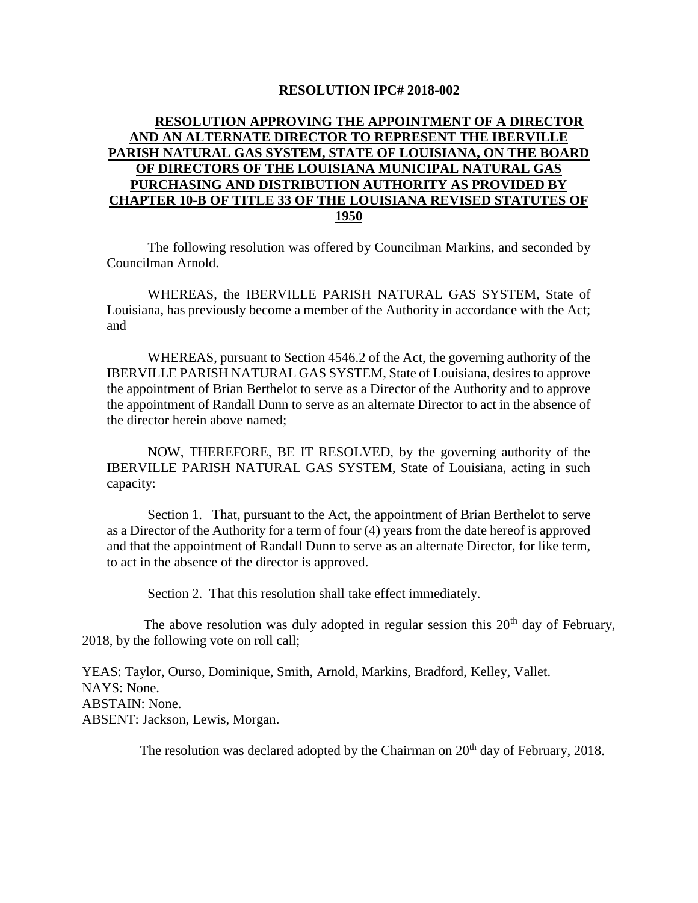#### **RESOLUTION IPC# 2018-002**

# **RESOLUTION APPROVING THE APPOINTMENT OF A DIRECTOR AND AN ALTERNATE DIRECTOR TO REPRESENT THE IBERVILLE PARISH NATURAL GAS SYSTEM, STATE OF LOUISIANA, ON THE BOARD OF DIRECTORS OF THE LOUISIANA MUNICIPAL NATURAL GAS PURCHASING AND DISTRIBUTION AUTHORITY AS PROVIDED BY CHAPTER 10-B OF TITLE 33 OF THE LOUISIANA REVISED STATUTES OF 1950**

The following resolution was offered by Councilman Markins, and seconded by Councilman Arnold.

WHEREAS, the IBERVILLE PARISH NATURAL GAS SYSTEM, State of Louisiana, has previously become a member of the Authority in accordance with the Act; and

WHEREAS, pursuant to Section 4546.2 of the Act, the governing authority of the IBERVILLE PARISH NATURAL GAS SYSTEM, State of Louisiana, desires to approve the appointment of Brian Berthelot to serve as a Director of the Authority and to approve the appointment of Randall Dunn to serve as an alternate Director to act in the absence of the director herein above named;

NOW, THEREFORE, BE IT RESOLVED, by the governing authority of the IBERVILLE PARISH NATURAL GAS SYSTEM, State of Louisiana, acting in such capacity:

Section 1. That, pursuant to the Act, the appointment of Brian Berthelot to serve as a Director of the Authority for a term of four (4) years from the date hereof is approved and that the appointment of Randall Dunn to serve as an alternate Director, for like term, to act in the absence of the director is approved.

Section 2. That this resolution shall take effect immediately.

The above resolution was duly adopted in regular session this  $20<sup>th</sup>$  day of February, 2018, by the following vote on roll call;

YEAS: Taylor, Ourso, Dominique, Smith, Arnold, Markins, Bradford, Kelley, Vallet. NAYS: None. ABSTAIN: None. ABSENT: Jackson, Lewis, Morgan.

The resolution was declared adopted by the Chairman on  $20<sup>th</sup>$  day of February, 2018.